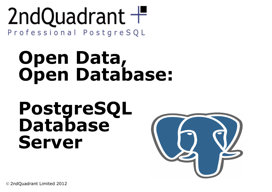#### 2ndQuadrant  $+$ Professional PostgreSQL

### **Open Data, Open Database:**

#### **PostgreSQL Database Server**



© 2ndQuadrant Limited 2012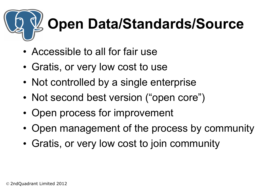## **Open Data/Standards/Source**

- Accessible to all for fair use
- Gratis, or very low cost to use
- Not controlled by a single enterprise
- Not second best version ("open core")
- Open process for improvement
- Open management of the process by community
- Gratis, or very low cost to join community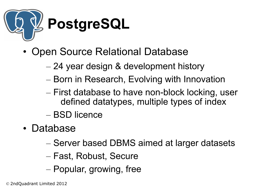

- Open Source Relational Database
	- 24 year design & development history
	- Born in Research, Evolving with Innovation
	- First database to have non-block locking, user defined datatypes, multiple types of index
	- BSD licence
- Database
	- Server based DBMS aimed at larger datasets
	- Fast, Robust, Secure
	- Popular, growing, free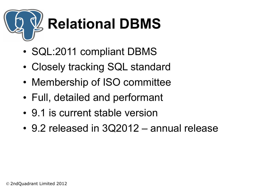

- SQL:2011 compliant DBMS
- Closely tracking SQL standard
- Membership of ISO committee
- Full, detailed and performant
- 9.1 is current stable version
- 9.2 released in 3Q2012 annual release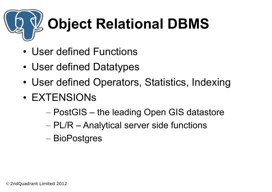## **Object Relational DBMS**

- User defined Functions
- User defined Datatypes
- User defined Operators, Statistics, Indexing
- EXTENSIONs
	- PostGIS the leading Open GIS datastore
	- PL/R Analytical server side functions
	- BioPostgres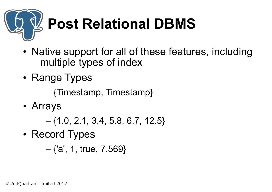# **Post Relational DBMS**

- Native support for all of these features, including multiple types of index
- Range Types

– {Timestamp, Timestamp}

• Arrays

 $-$  {1.0, 2.1, 3.4, 5.8, 6.7, 12.5}

• Record Types

 $-$  {'a', 1, true, 7.569}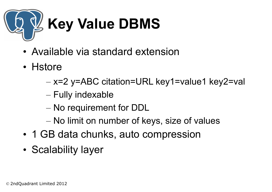

- Available via standard extension
- Hstore
	- x=2 y=ABC citation=URL key1=value1 key2=val
	- Fully indexable
	- No requirement for DDL
	- No limit on number of keys, size of values
- 1 GB data chunks, auto compression
- Scalability layer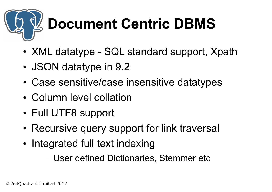## **Document Centric DBMS**

- XML datatype SQL standard support, Xpath
- JSON datatype in 9.2
- Case sensitive/case insensitive datatypes
- Column level collation
- Full UTF8 support
- Recursive query support for link traversal
- Integrated full text indexing

– User defined Dictionaries, Stemmer etc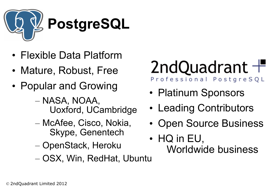

- Flexible Data Platform
- Mature, Robust, Free
- Popular and Growing
	- NASA, NOAA, Uoxford, UCambridge
	- McAfee, Cisco, Nokia, Skype, Genentech
	- OpenStack, Heroku
	- OSX, Win, RedHat, Ubuntu

#### 2ndQuadrant  $+$ Professional PostgreSQL

- Platinum Sponsors
- Leading Contributors
- Open Source Business
- HQ in EU, Worldwide business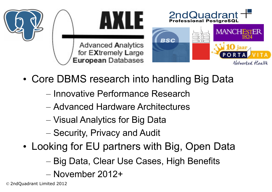

- Core DBMS research into handling Big Data
	- Innovative Performance Research
	- Advanced Hardware Architectures
	- Visual Analytics for Big Data
	- Security, Privacy and Audit
- Looking for EU partners with Big, Open Data
	- Big Data, Clear Use Cases, High Benefits
	- November 2012+

© 2ndQuadrant Limited 2012